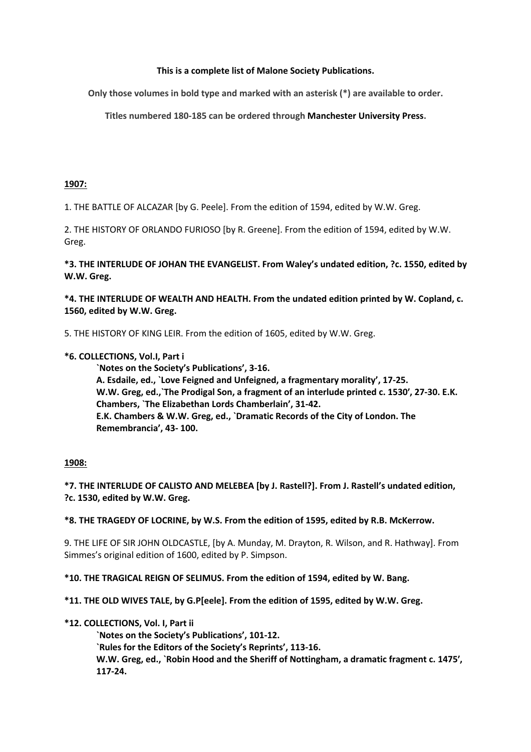## **This is a complete list of Malone Society Publications.**

**Only those volumes in bold type and marked with an asterisk (\*) are available to order.** 

**Titles numbered 180-185 can be ordered through Manchester University Press.**

## **1907:**

1. THE BATTLE OF ALCAZAR [by G. Peele]. From the edition of 1594, edited by W.W. Greg.

2. THE HISTORY OF ORLANDO FURIOSO [by R. Greene]. From the edition of 1594, edited by W.W. Greg.

**\*3. THE INTERLUDE OF JOHAN THE EVANGELIST. From Waley's undated edition, ?c. 1550, edited by W.W. Greg.** 

**\*4. THE INTERLUDE OF WEALTH AND HEALTH. From the undated edition printed by W. Copland, c. 1560, edited by W.W. Greg.** 

5. THE HISTORY OF KING LEIR. From the edition of 1605, edited by W.W. Greg.

# **\*6. COLLECTIONS, Vol.I, Part i**

**`Notes on the Society's Publications', 3-16. A. Esdaile, ed., `Love Feigned and Unfeigned, a fragmentary morality', 17-25. W.W. Greg, ed.,`The Prodigal Son, a fragment of an interlude printed c. 1530ʹ, 27-30. E.K. Chambers, `The Elizabethan Lords Chamberlain', 31-42. E.K. Chambers & W.W. Greg, ed., `Dramatic Records of the City of London. The Remembrancia', 43- 100.** 

# **1908:**

**\*7. THE INTERLUDE OF CALISTO AND MELEBEA [by J. Rastell?]. From J. Rastell's undated edition, ?c. 1530, edited by W.W. Greg.** 

**\*8. THE TRAGEDY OF LOCRINE, by W.S. From the edition of 1595, edited by R.B. McKerrow.** 

9. THE LIFE OF SIR JOHN OLDCASTLE, [by A. Munday, M. Drayton, R. Wilson, and R. Hathway]. From Simmes's original edition of 1600, edited by P. Simpson.

# **\*10. THE TRAGICAL REIGN OF SELIMUS. From the edition of 1594, edited by W. Bang.**

**\*11. THE OLD WIVES TALE, by G.P[eele]. From the edition of 1595, edited by W.W. Greg.** 

**\*12. COLLECTIONS, Vol. I, Part ii** 

**`Notes on the Society's Publications', 101-12.** 

**`Rules for the Editors of the Society's Reprints', 113-16.** 

**W.W. Greg, ed., `Robin Hood and the Sheriff of Nottingham, a dramatic fragment c. 1475ʹ, 117-24.**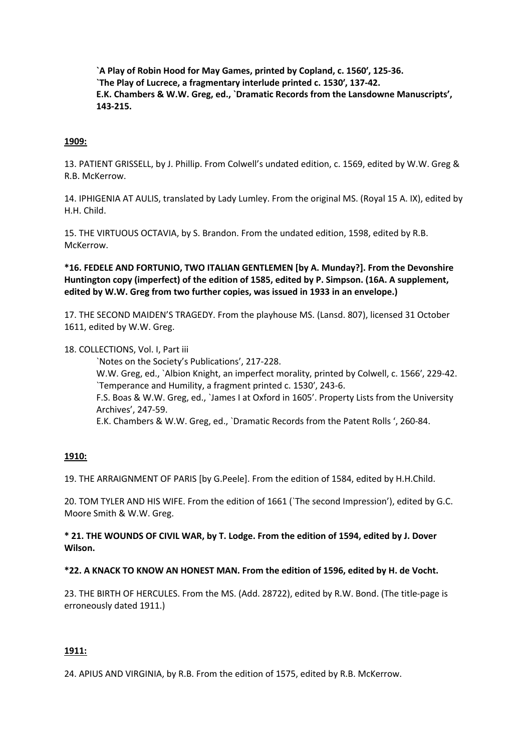**`A Play of Robin Hood for May Games, printed by Copland, c. 1560ʹ, 125-36. `The Play of Lucrece, a fragmentary interlude printed c. 1530ʹ, 137-42. E.K. Chambers & W.W. Greg, ed., `Dramatic Records from the Lansdowne Manuscripts', 143-215.** 

#### **1909:**

13. PATIENT GRISSELL, by J. Phillip. From Colwell's undated edition, c. 1569, edited by W.W. Greg & R.B. McKerrow.

14. IPHIGENIA AT AULIS, translated by Lady Lumley. From the original MS. (Royal 15 A. IX), edited by H.H. Child.

15. THE VIRTUOUS OCTAVIA, by S. Brandon. From the undated edition, 1598, edited by R.B. McKerrow.

**\*16. FEDELE AND FORTUNIO, TWO ITALIAN GENTLEMEN [by A. Munday?]. From the Devonshire Huntington copy (imperfect) of the edition of 1585, edited by P. Simpson. (16A. A supplement, edited by W.W. Greg from two further copies, was issued in 1933 in an envelope.)** 

17. THE SECOND MAIDEN'S TRAGEDY. From the playhouse MS. (Lansd. 807), licensed 31 October 1611, edited by W.W. Greg.

18. COLLECTIONS, Vol. I, Part iii

`Notes on the Society's Publications', 217-228.

W.W. Greg, ed., `Albion Knight, an imperfect morality, printed by Colwell, c. 1566ʹ, 229-42. `Temperance and Humility, a fragment printed c. 1530ʹ, 243-6.

F.S. Boas & W.W. Greg, ed., `James I at Oxford in 1605'. Property Lists from the University Archives', 247-59.

E.K. Chambers & W.W. Greg, ed., `Dramatic Records from the Patent Rolls ʻ, 260-84.

#### **1910:**

19. THE ARRAIGNMENT OF PARIS [by G.Peele]. From the edition of 1584, edited by H.H.Child.

20. TOM TYLER AND HIS WIFE. From the edition of 1661 (`The second Impression'), edited by G.C. Moore Smith & W.W. Greg.

**\* 21. THE WOUNDS OF CIVIL WAR, by T. Lodge. From the edition of 1594, edited by J. Dover Wilson.** 

#### **\*22. A KNACK TO KNOW AN HONEST MAN. From the edition of 1596, edited by H. de Vocht.**

23. THE BIRTH OF HERCULES. From the MS. (Add. 28722), edited by R.W. Bond. (The title-page is erroneously dated 1911.)

## **1911:**

24. APIUS AND VIRGINIA, by R.B. From the edition of 1575, edited by R.B. McKerrow.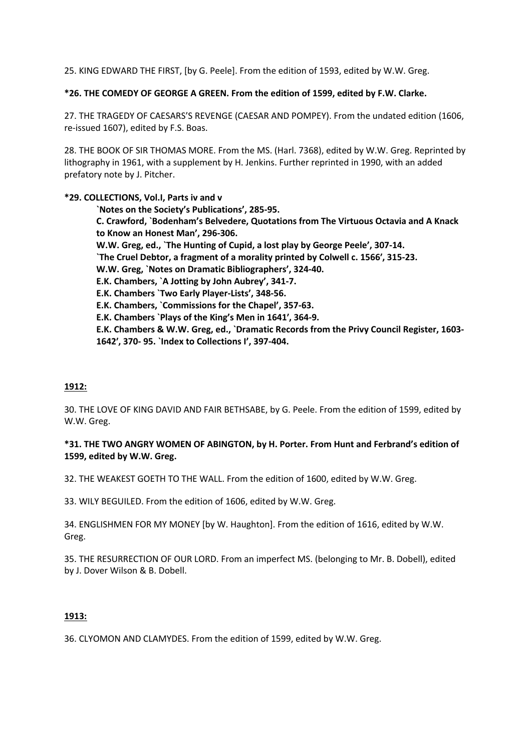25. KING EDWARD THE FIRST, [by G. Peele]. From the edition of 1593, edited by W.W. Greg.

#### **\*26. THE COMEDY OF GEORGE A GREEN. From the edition of 1599, edited by F.W. Clarke.**

27. THE TRAGEDY OF CAESARS'S REVENGE (CAESAR AND POMPEY). From the undated edition (1606, re-issued 1607), edited by F.S. Boas.

28. THE BOOK OF SIR THOMAS MORE. From the MS. (Harl. 7368), edited by W.W. Greg. Reprinted by lithography in 1961, with a supplement by H. Jenkins. Further reprinted in 1990, with an added prefatory note by J. Pitcher.

#### **\*29. COLLECTIONS, Vol.I, Parts iv and v**

**`Notes on the Society's Publications', 285-95. C. Crawford, `Bodenham's Belvedere, Quotations from The Virtuous Octavia and A Knack to Know an Honest Man', 296-306. W.W. Greg, ed., `The Hunting of Cupid, a lost play by George Peele', 307-14. `The Cruel Debtor, a fragment of a morality printed by Colwell c. 1566ʹ, 315-23. W.W. Greg, `Notes on Dramatic Bibliographers', 324-40. E.K. Chambers, `A Jotting by John Aubrey', 341-7. E.K. Chambers `Two Early Player-Lists', 348-56. E.K. Chambers, `Commissions for the Chapel', 357-63. E.K. Chambers `Plays of the King's Men in 1641ʹ, 364-9. E.K. Chambers & W.W. Greg, ed., `Dramatic Records from the Privy Council Register, 1603- 1642ʹ, 370- 95. `Index to Collections I', 397-404.** 

#### **1912:**

30. THE LOVE OF KING DAVID AND FAIR BETHSABE, by G. Peele. From the edition of 1599, edited by W.W. Greg.

## **\*31. THE TWO ANGRY WOMEN OF ABINGTON, by H. Porter. From Hunt and Ferbrand's edition of 1599, edited by W.W. Greg.**

32. THE WEAKEST GOETH TO THE WALL. From the edition of 1600, edited by W.W. Greg.

33. WILY BEGUILED. From the edition of 1606, edited by W.W. Greg.

34. ENGLISHMEN FOR MY MONEY [by W. Haughton]. From the edition of 1616, edited by W.W. Greg.

35. THE RESURRECTION OF OUR LORD. From an imperfect MS. (belonging to Mr. B. Dobell), edited by J. Dover Wilson & B. Dobell.

## **1913:**

36. CLYOMON AND CLAMYDES. From the edition of 1599, edited by W.W. Greg.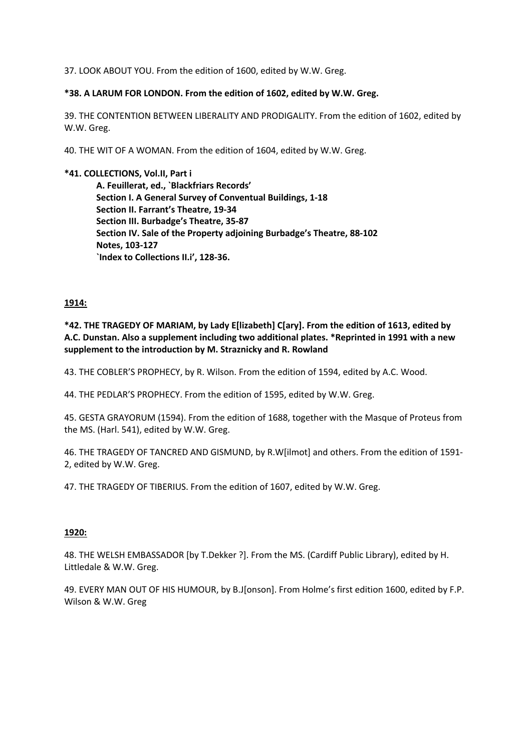37. LOOK ABOUT YOU. From the edition of 1600, edited by W.W. Greg.

## **\*38. A LARUM FOR LONDON. From the edition of 1602, edited by W.W. Greg.**

39. THE CONTENTION BETWEEN LIBERALITY AND PRODIGALITY. From the edition of 1602, edited by W.W. Greg.

40. THE WIT OF A WOMAN. From the edition of 1604, edited by W.W. Greg.

**\*41. COLLECTIONS, Vol.II, Part i A. Feuillerat, ed., `Blackfriars Records' Section I. A General Survey of Conventual Buildings, 1-18 Section II. Farrant's Theatre, 19-34 Section III. Burbadge's Theatre, 35-87 Section IV. Sale of the Property adjoining Burbadge's Theatre, 88-102 Notes, 103-127 `Index to Collections II.i', 128-36.** 

# **1914:**

**\*42. THE TRAGEDY OF MARIAM, by Lady E[lizabeth] C[ary]. From the edition of 1613, edited by A.C. Dunstan. Also a supplement including two additional plates. \*Reprinted in 1991 with a new supplement to the introduction by M. Straznicky and R. Rowland** 

43. THE COBLER'S PROPHECY, by R. Wilson. From the edition of 1594, edited by A.C. Wood.

44. THE PEDLAR'S PROPHECY. From the edition of 1595, edited by W.W. Greg.

45. GESTA GRAYORUM (1594). From the edition of 1688, together with the Masque of Proteus from the MS. (Harl. 541), edited by W.W. Greg.

46. THE TRAGEDY OF TANCRED AND GISMUND, by R.W[ilmot] and others. From the edition of 1591- 2, edited by W.W. Greg.

47. THE TRAGEDY OF TIBERIUS. From the edition of 1607, edited by W.W. Greg.

## **1920:**

48. THE WELSH EMBASSADOR [by T.Dekker ?]. From the MS. (Cardiff Public Library), edited by H. Littledale & W.W. Greg.

49. EVERY MAN OUT OF HIS HUMOUR, by B.J[onson]. From Holme's first edition 1600, edited by F.P. Wilson & W.W. Greg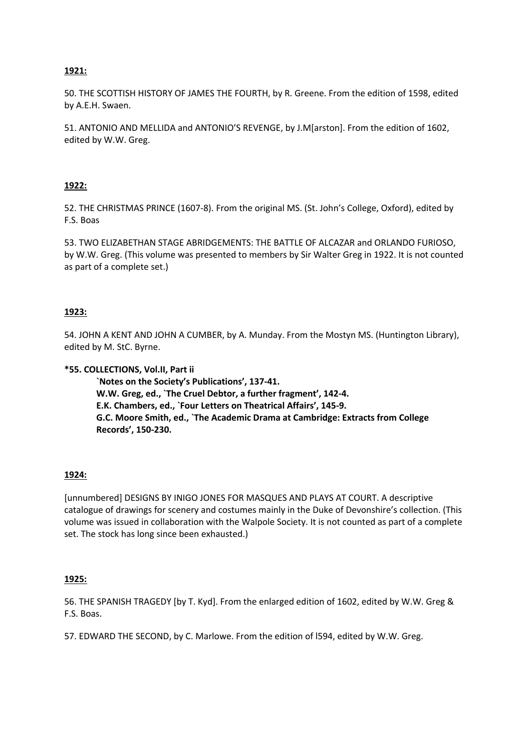50. THE SCOTTISH HISTORY OF JAMES THE FOURTH, by R. Greene. From the edition of 1598, edited by A.E.H. Swaen.

51. ANTONIO AND MELLIDA and ANTONIO'S REVENGE, by J.M[arston]. From the edition of 1602, edited by W.W. Greg.

## **1922:**

52. THE CHRISTMAS PRINCE (1607-8). From the original MS. (St. John's College, Oxford), edited by F.S. Boas

53. TWO ELIZABETHAN STAGE ABRIDGEMENTS: THE BATTLE OF ALCAZAR and ORLANDO FURIOSO, by W.W. Greg. (This volume was presented to members by Sir Walter Greg in 1922. It is not counted as part of a complete set.)

# **1923:**

54. JOHN A KENT AND JOHN A CUMBER, by A. Munday. From the Mostyn MS. (Huntington Library), edited by M. StC. Byrne.

## **\*55. COLLECTIONS, Vol.II, Part ii**

**`Notes on the Society's Publications', 137-41. W.W. Greg, ed., `The Cruel Debtor, a further fragment', 142-4. E.K. Chambers, ed., `Four Letters on Theatrical Affairs', 145-9. G.C. Moore Smith, ed., `The Academic Drama at Cambridge: Extracts from College Records', 150-230.** 

## **1924:**

[unnumbered] DESIGNS BY INIGO JONES FOR MASQUES AND PLAYS AT COURT. A descriptive catalogue of drawings for scenery and costumes mainly in the Duke of Devonshire's collection. (This volume was issued in collaboration with the Walpole Society. It is not counted as part of a complete set. The stock has long since been exhausted.)

## **1925:**

56. THE SPANISH TRAGEDY [by T. Kyd]. From the enlarged edition of 1602, edited by W.W. Greg & F.S. Boas.

57. EDWARD THE SECOND, by C. Marlowe. From the edition of l594, edited by W.W. Greg.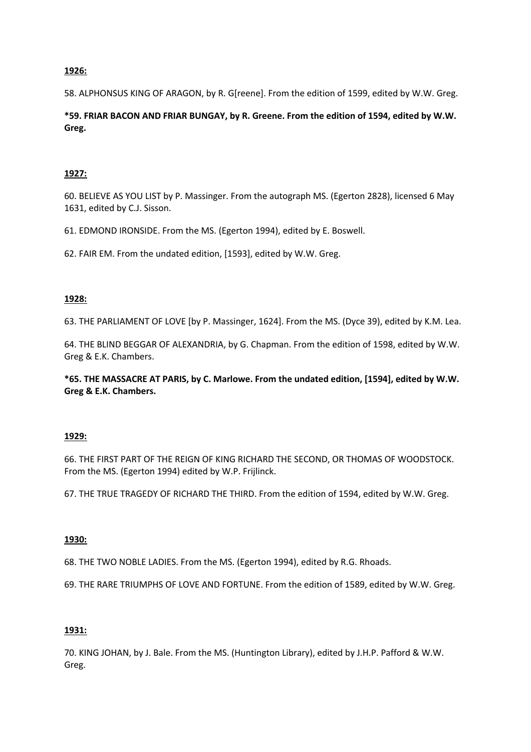58. ALPHONSUS KING OF ARAGON, by R. G[reene]. From the edition of 1599, edited by W.W. Greg.

# **\*59. FRIAR BACON AND FRIAR BUNGAY, by R. Greene. From the edition of 1594, edited by W.W. Greg.**

# **1927:**

60. BELIEVE AS YOU LIST by P. Massinger. From the autograph MS. (Egerton 2828), licensed 6 May 1631, edited by C.J. Sisson.

61. EDMOND IRONSIDE. From the MS. (Egerton 1994), edited by E. Boswell.

62. FAIR EM. From the undated edition, [1593], edited by W.W. Greg.

# **1928:**

63. THE PARLIAMENT OF LOVE [by P. Massinger, 1624]. From the MS. (Dyce 39), edited by K.M. Lea.

64. THE BLIND BEGGAR OF ALEXANDRIA, by G. Chapman. From the edition of 1598, edited by W.W. Greg & E.K. Chambers.

**\*65. THE MASSACRE AT PARIS, by C. Marlowe. From the undated edition, [1594], edited by W.W. Greg & E.K. Chambers.** 

## **1929:**

66. THE FIRST PART OF THE REIGN OF KING RICHARD THE SECOND, OR THOMAS OF WOODSTOCK. From the MS. (Egerton 1994) edited by W.P. Frijlinck.

67. THE TRUE TRAGEDY OF RICHARD THE THIRD. From the edition of 1594, edited by W.W. Greg.

## **1930:**

68. THE TWO NOBLE LADIES. From the MS. (Egerton 1994), edited by R.G. Rhoads.

69. THE RARE TRIUMPHS OF LOVE AND FORTUNE. From the edition of 1589, edited by W.W. Greg.

# **1931:**

70. KING JOHAN, by J. Bale. From the MS. (Huntington Library), edited by J.H.P. Pafford & W.W. Greg.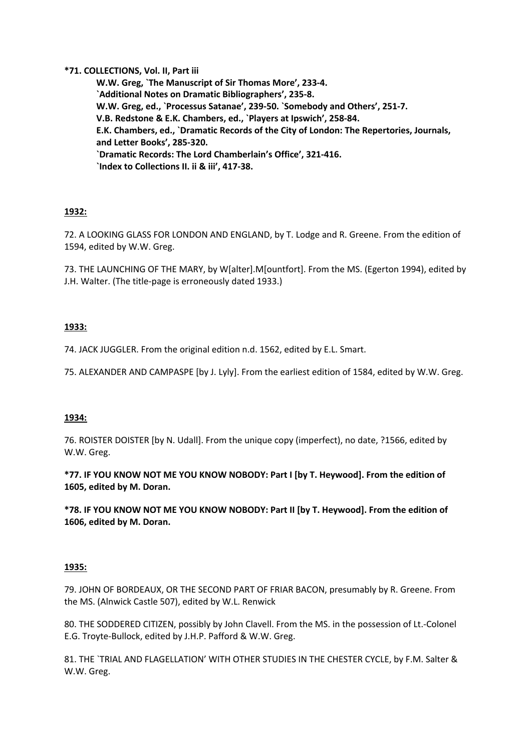## **\*71. COLLECTIONS, Vol. II, Part iii**

**W.W. Greg, `The Manuscript of Sir Thomas More', 233-4. `Additional Notes on Dramatic Bibliographers', 235-8. W.W. Greg, ed., `Processus Satanae', 239-50. `Somebody and Others', 251-7. V.B. Redstone & E.K. Chambers, ed., `Players at Ipswich', 258-84. E.K. Chambers, ed., `Dramatic Records of the City of London: The Repertories, Journals, and Letter Books', 285-320. `Dramatic Records: The Lord Chamberlain's Office', 321-416. `Index to Collections II. ii & iii', 417-38.**

# **1932:**

72. A LOOKING GLASS FOR LONDON AND ENGLAND, by T. Lodge and R. Greene. From the edition of 1594, edited by W.W. Greg.

73. THE LAUNCHING OF THE MARY, by W[alter].M[ountfort]. From the MS. (Egerton 1994), edited by J.H. Walter. (The title-page is erroneously dated 1933.)

# **1933:**

74. JACK JUGGLER. From the original edition n.d. 1562, edited by E.L. Smart.

75. ALEXANDER AND CAMPASPE [by J. Lyly]. From the earliest edition of 1584, edited by W.W. Greg.

## **1934:**

76. ROISTER DOISTER [by N. Udall]. From the unique copy (imperfect), no date, ?1566, edited by W.W. Greg.

**\*77. IF YOU KNOW NOT ME YOU KNOW NOBODY: Part I [by T. Heywood]. From the edition of 1605, edited by M. Doran.** 

**\*78. IF YOU KNOW NOT ME YOU KNOW NOBODY: Part II [by T. Heywood]. From the edition of 1606, edited by M. Doran.** 

## **1935:**

79. JOHN OF BORDEAUX, OR THE SECOND PART OF FRIAR BACON, presumably by R. Greene. From the MS. (Alnwick Castle 507), edited by W.L. Renwick

80. THE SODDERED CITIZEN, possibly by John Clavell. From the MS. in the possession of Lt.-Colonel E.G. Troyte-Bullock, edited by J.H.P. Pafford & W.W. Greg.

81. THE `TRIAL AND FLAGELLATION' WITH OTHER STUDIES IN THE CHESTER CYCLE, by F.M. Salter & W.W. Greg.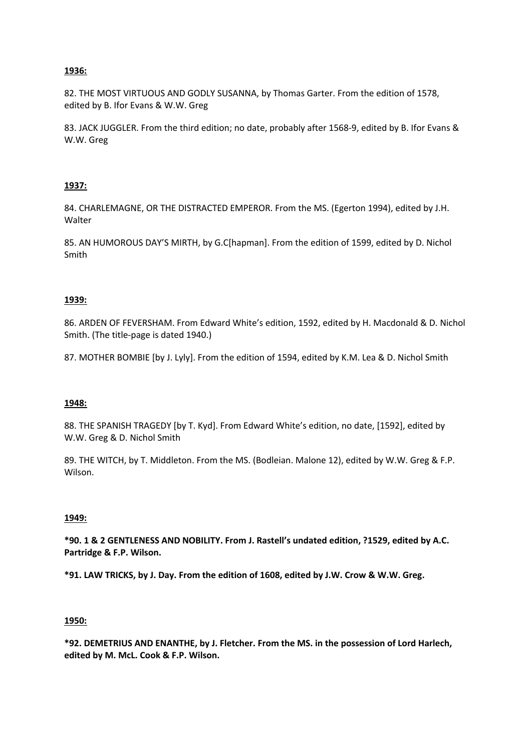82. THE MOST VIRTUOUS AND GODLY SUSANNA, by Thomas Garter. From the edition of 1578, edited by B. Ifor Evans & W.W. Greg

83. JACK JUGGLER. From the third edition; no date, probably after 1568-9, edited by B. Ifor Evans & W.W. Greg

## **1937:**

84. CHARLEMAGNE, OR THE DISTRACTED EMPEROR. From the MS. (Egerton 1994), edited by J.H. Walter

85. AN HUMOROUS DAY'S MIRTH, by G.C[hapman]. From the edition of 1599, edited by D. Nichol Smith

## **1939:**

86. ARDEN OF FEVERSHAM. From Edward White's edition, 1592, edited by H. Macdonald & D. Nichol Smith. (The title-page is dated 1940.)

87. MOTHER BOMBIE [by J. Lyly]. From the edition of 1594, edited by K.M. Lea & D. Nichol Smith

## **1948:**

88. THE SPANISH TRAGEDY [by T. Kyd]. From Edward White's edition, no date, [1592], edited by W.W. Greg & D. Nichol Smith

89. THE WITCH, by T. Middleton. From the MS. (Bodleian. Malone 12), edited by W.W. Greg & F.P. Wilson.

## **1949:**

**\*90. 1 & 2 GENTLENESS AND NOBILITY. From J. Rastell's undated edition, ?1529, edited by A.C. Partridge & F.P. Wilson.** 

**\*91. LAW TRICKS, by J. Day. From the edition of 1608, edited by J.W. Crow & W.W. Greg.** 

#### **1950:**

**\*92. DEMETRIUS AND ENANTHE, by J. Fletcher. From the MS. in the possession of Lord Harlech, edited by M. McL. Cook & F.P. Wilson.**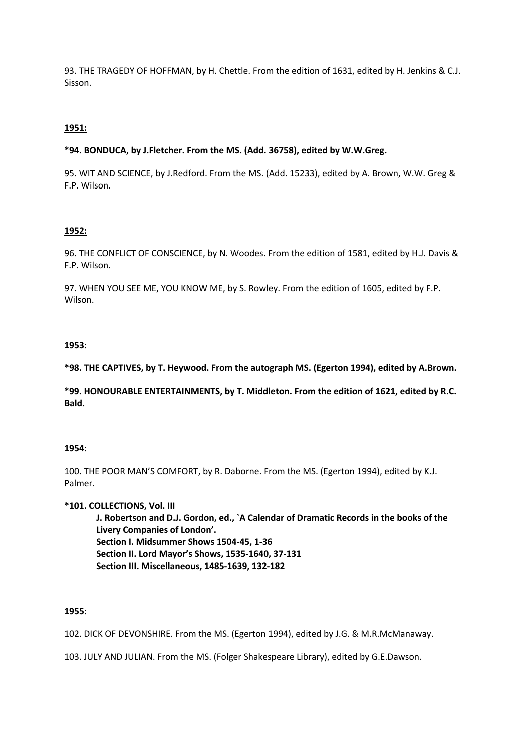93. THE TRAGEDY OF HOFFMAN, by H. Chettle. From the edition of 1631, edited by H. Jenkins & C.J. Sisson.

## **1951:**

## **\*94. BONDUCA, by J.Fletcher. From the MS. (Add. 36758), edited by W.W.Greg.**

95. WIT AND SCIENCE, by J.Redford. From the MS. (Add. 15233), edited by A. Brown, W.W. Greg & F.P. Wilson.

#### **1952:**

96. THE CONFLICT OF CONSCIENCE, by N. Woodes. From the edition of 1581, edited by H.J. Davis & F.P. Wilson.

97. WHEN YOU SEE ME, YOU KNOW ME, by S. Rowley. From the edition of 1605, edited by F.P. Wilson.

#### **1953:**

**\*98. THE CAPTIVES, by T. Heywood. From the autograph MS. (Egerton 1994), edited by A.Brown.** 

**\*99. HONOURABLE ENTERTAINMENTS, by T. Middleton. From the edition of 1621, edited by R.C. Bald.** 

## **1954:**

100. THE POOR MAN'S COMFORT, by R. Daborne. From the MS. (Egerton 1994), edited by K.J. Palmer.

## **\*101. COLLECTIONS, Vol. III**

**J. Robertson and D.J. Gordon, ed., `A Calendar of Dramatic Records in the books of the Livery Companies of London'. Section I. Midsummer Shows 1504-45, 1-36 Section II. Lord Mayor's Shows, 1535-1640, 37-131 Section III. Miscellaneous, 1485-1639, 132-182** 

## **1955:**

102. DICK OF DEVONSHIRE. From the MS. (Egerton 1994), edited by J.G. & M.R.McManaway.

103. JULY AND JULIAN. From the MS. (Folger Shakespeare Library), edited by G.E.Dawson.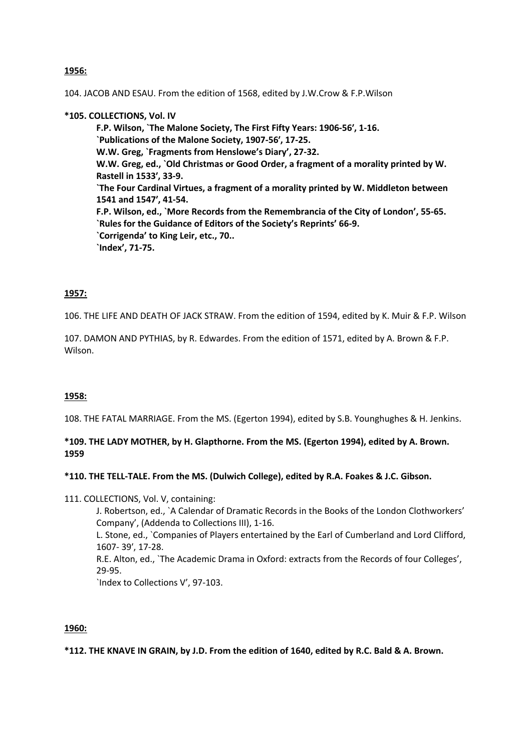104. JACOB AND ESAU. From the edition of 1568, edited by J.W.Crow & F.P.Wilson

## **\*105. COLLECTIONS, Vol. IV**

**F.P. Wilson, `The Malone Society, The First Fifty Years: 1906-56ʹ, 1-16. `Publications of the Malone Society, 1907-56ʹ, 17-25. W.W. Greg, `Fragments from Henslowe's Diary', 27-32. W.W. Greg, ed., `Old Christmas or Good Order, a fragment of a morality printed by W. Rastell in 1533ʹ, 33-9. `The Four Cardinal Virtues, a fragment of a morality printed by W. Middleton between 1541 and 1547ʹ, 41-54. F.P. Wilson, ed., `More Records from the Remembrancia of the City of London', 55-65. `Rules for the Guidance of Editors of the Society's Reprints' 66-9. `Corrigenda' to King Leir, etc., 70.. `Index', 71-75.** 

#### **1957:**

106. THE LIFE AND DEATH OF JACK STRAW. From the edition of 1594, edited by K. Muir & F.P. Wilson

107. DAMON AND PYTHIAS, by R. Edwardes. From the edition of 1571, edited by A. Brown & F.P. Wilson.

## **1958:**

108. THE FATAL MARRIAGE. From the MS. (Egerton 1994), edited by S.B. Younghughes & H. Jenkins.

## **\*109. THE LADY MOTHER, by H. Glapthorne. From the MS. (Egerton 1994), edited by A. Brown. 1959**

#### **\*110. THE TELL-TALE. From the MS. (Dulwich College), edited by R.A. Foakes & J.C. Gibson.**

111. COLLECTIONS, Vol. V, containing:

J. Robertson, ed., `A Calendar of Dramatic Records in the Books of the London Clothworkers' Company', (Addenda to Collections III), 1-16. L. Stone, ed., `Companies of Players entertained by the Earl of Cumberland and Lord Clifford, 1607- 39ʹ, 17-28. R.E. Alton, ed., `The Academic Drama in Oxford: extracts from the Records of four Colleges', 29-95. `Index to Collections V', 97-103.

#### **1960:**

**\*112. THE KNAVE IN GRAIN, by J.D. From the edition of 1640, edited by R.C. Bald & A. Brown.**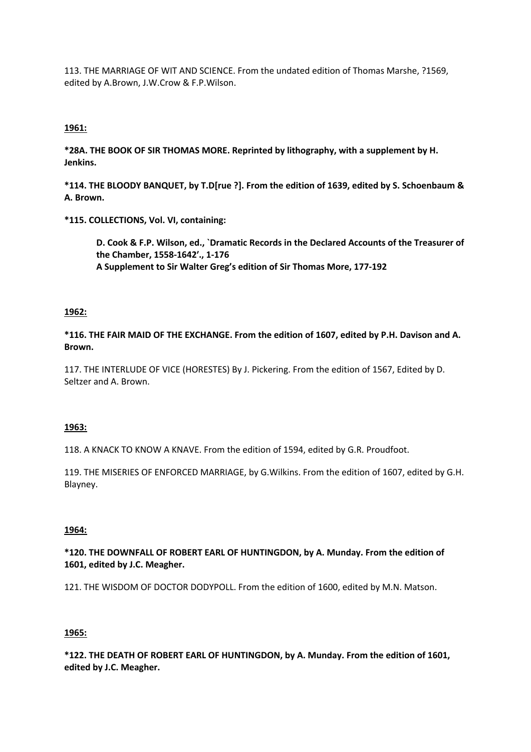113. THE MARRIAGE OF WIT AND SCIENCE. From the undated edition of Thomas Marshe, ?1569, edited by A.Brown, J.W.Crow & F.P.Wilson.

# **1961:**

**\*28A. THE BOOK OF SIR THOMAS MORE. Reprinted by lithography, with a supplement by H. Jenkins.** 

**\*114. THE BLOODY BANQUET, by T.D[rue ?]. From the edition of 1639, edited by S. Schoenbaum & A. Brown.** 

**\*115. COLLECTIONS, Vol. VI, containing:** 

**D. Cook & F.P. Wilson, ed., `Dramatic Records in the Declared Accounts of the Treasurer of the Chamber, 1558-1642ʹ., 1-176 A Supplement to Sir Walter Greg's edition of Sir Thomas More, 177-192** 

## **1962:**

**\*116. THE FAIR MAID OF THE EXCHANGE. From the edition of 1607, edited by P.H. Davison and A. Brown.** 

117. THE INTERLUDE OF VICE (HORESTES) By J. Pickering. From the edition of 1567, Edited by D. Seltzer and A. Brown.

## **1963:**

118. A KNACK TO KNOW A KNAVE. From the edition of 1594, edited by G.R. Proudfoot.

119. THE MISERIES OF ENFORCED MARRIAGE, by G.Wilkins. From the edition of 1607, edited by G.H. Blayney.

## **1964:**

# **\*120. THE DOWNFALL OF ROBERT EARL OF HUNTINGDON, by A. Munday. From the edition of 1601, edited by J.C. Meagher.**

121. THE WISDOM OF DOCTOR DODYPOLL. From the edition of 1600, edited by M.N. Matson.

## **1965:**

**\*122. THE DEATH OF ROBERT EARL OF HUNTINGDON, by A. Munday. From the edition of 1601, edited by J.C. Meagher.**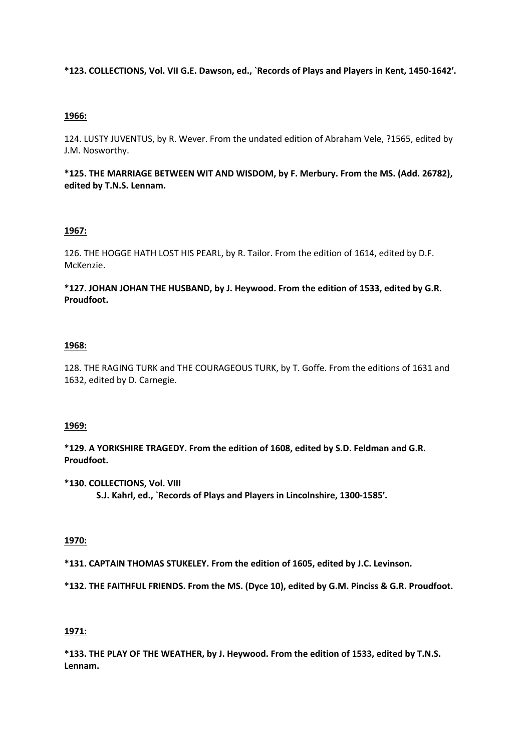# **\*123. COLLECTIONS, Vol. VII G.E. Dawson, ed., `Records of Plays and Players in Kent, 1450-1642ʹ.**

# **1966:**

124. LUSTY JUVENTUS, by R. Wever. From the undated edition of Abraham Vele, ?1565, edited by J.M. Nosworthy.

**\*125. THE MARRIAGE BETWEEN WIT AND WISDOM, by F. Merbury. From the MS. (Add. 26782), edited by T.N.S. Lennam.** 

## **1967:**

126. THE HOGGE HATH LOST HIS PEARL, by R. Tailor. From the edition of 1614, edited by D.F. McKenzie.

**\*127. JOHAN JOHAN THE HUSBAND, by J. Heywood. From the edition of 1533, edited by G.R. Proudfoot.** 

#### **1968:**

128. THE RAGING TURK and THE COURAGEOUS TURK, by T. Goffe. From the editions of 1631 and 1632, edited by D. Carnegie.

#### **1969:**

**\*129. A YORKSHIRE TRAGEDY. From the edition of 1608, edited by S.D. Feldman and G.R. Proudfoot.** 

**\*130. COLLECTIONS, Vol. VIII S.J. Kahrl, ed., `Records of Plays and Players in Lincolnshire, 1300-1585ʹ.** 

## **1970:**

**\*131. CAPTAIN THOMAS STUKELEY. From the edition of 1605, edited by J.C. Levinson.** 

**\*132. THE FAITHFUL FRIENDS. From the MS. (Dyce 10), edited by G.M. Pinciss & G.R. Proudfoot.** 

## **1971:**

**\*133. THE PLAY OF THE WEATHER, by J. Heywood. From the edition of 1533, edited by T.N.S. Lennam.**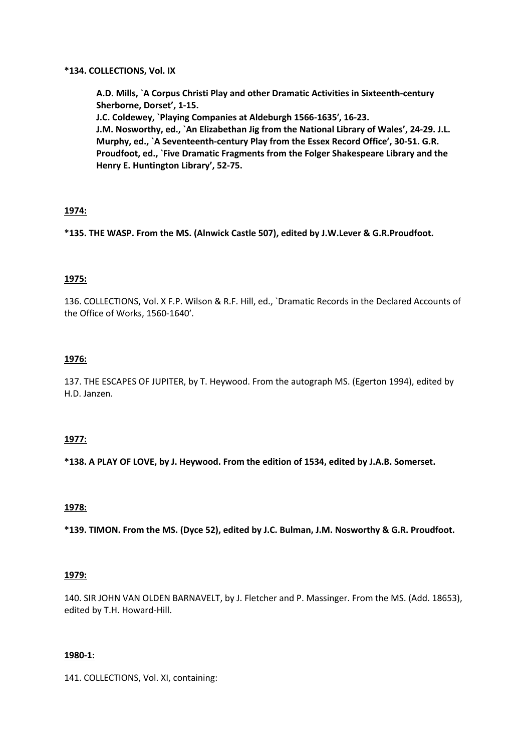## **\*134. COLLECTIONS, Vol. IX**

**A.D. Mills, `A Corpus Christi Play and other Dramatic Activities in Sixteenth-century Sherborne, Dorset', 1-15. J.C. Coldewey, `Playing Companies at Aldeburgh 1566-1635ʹ, 16-23. J.M. Nosworthy, ed., `An Elizabethan Jig from the National Library of Wales', 24-29. J.L. Murphy, ed., `A Seventeenth-century Play from the Essex Record Office', 30-51. G.R. Proudfoot, ed., `Five Dramatic Fragments from the Folger Shakespeare Library and the Henry E. Huntington Library', 52-75.** 

# **1974:**

**\*135. THE WASP. From the MS. (Alnwick Castle 507), edited by J.W.Lever & G.R.Proudfoot.** 

# **1975:**

136. COLLECTIONS, Vol. X F.P. Wilson & R.F. Hill, ed., `Dramatic Records in the Declared Accounts of the Office of Works, 1560-1640ʹ.

# **1976:**

137. THE ESCAPES OF JUPITER, by T. Heywood. From the autograph MS. (Egerton 1994), edited by H.D. Janzen.

# **1977:**

**\*138. A PLAY OF LOVE, by J. Heywood. From the edition of 1534, edited by J.A.B. Somerset.** 

# **1978:**

**\*139. TIMON. From the MS. (Dyce 52), edited by J.C. Bulman, J.M. Nosworthy & G.R. Proudfoot.** 

## **1979:**

140. SIR JOHN VAN OLDEN BARNAVELT, by J. Fletcher and P. Massinger. From the MS. (Add. 18653), edited by T.H. Howard-Hill.

## **1980-1:**

141. COLLECTIONS, Vol. XI, containing: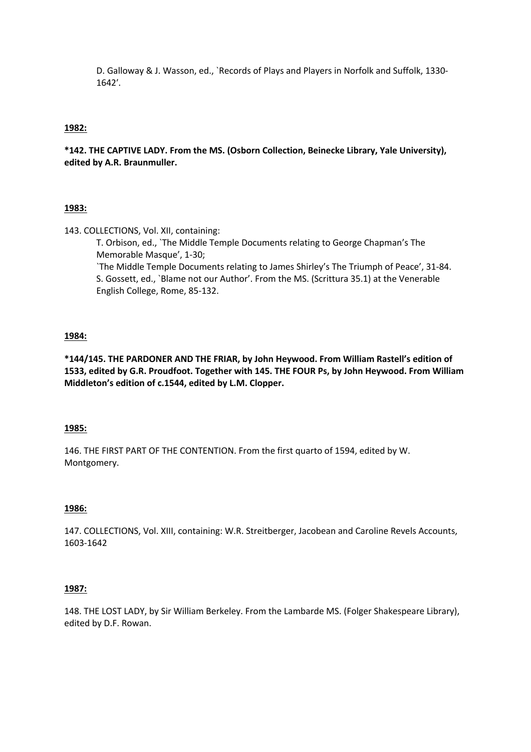D. Galloway & J. Wasson, ed., `Records of Plays and Players in Norfolk and Suffolk, 1330- 1642ʹ.

## **1982:**

**\*142. THE CAPTIVE LADY. From the MS. (Osborn Collection, Beinecke Library, Yale University), edited by A.R. Braunmuller.**

# **1983:**

143. COLLECTIONS, Vol. XII, containing:

T. Orbison, ed., `The Middle Temple Documents relating to George Chapman's The Memorable Masque', 1-30; `The Middle Temple Documents relating to James Shirley's The Triumph of Peace', 31-84. S. Gossett, ed., `Blame not our Author'. From the MS. (Scrittura 35.1) at the Venerable English College, Rome, 85-132.

# **1984:**

**\*144/145. THE PARDONER AND THE FRIAR, by John Heywood. From William Rastell's edition of 1533, edited by G.R. Proudfoot. Together with 145. THE FOUR Ps, by John Heywood. From William Middleton's edition of c.1544, edited by L.M. Clopper.** 

## **1985:**

146. THE FIRST PART OF THE CONTENTION. From the first quarto of 1594, edited by W. Montgomery.

## **1986:**

147. COLLECTIONS, Vol. XIII, containing: W.R. Streitberger, Jacobean and Caroline Revels Accounts, 1603-1642

## **1987:**

148. THE LOST LADY, by Sir William Berkeley. From the Lambarde MS. (Folger Shakespeare Library), edited by D.F. Rowan.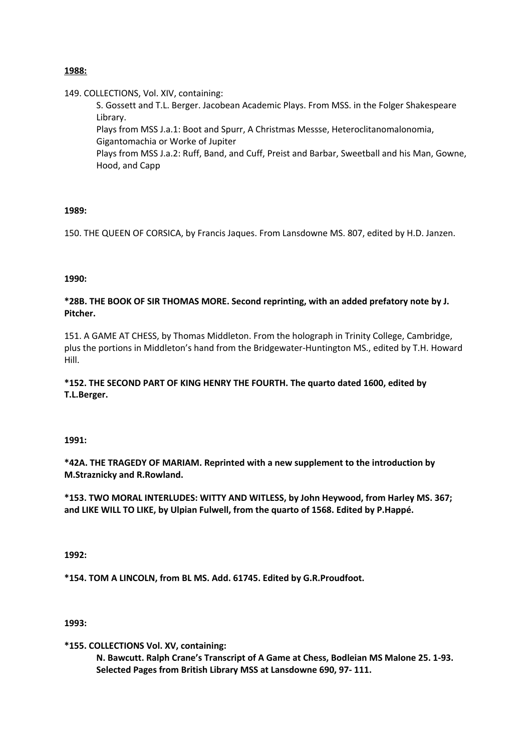149. COLLECTIONS, Vol. XIV, containing:

S. Gossett and T.L. Berger. Jacobean Academic Plays. From MSS. in the Folger Shakespeare Library.

Plays from MSS J.a.1: Boot and Spurr, A Christmas Messse, Heteroclitanomalonomia, Gigantomachia or Worke of Jupiter

Plays from MSS J.a.2: Ruff, Band, and Cuff, Preist and Barbar, Sweetball and his Man, Gowne, Hood, and Capp

# **1989:**

150. THE QUEEN OF CORSICA, by Francis Jaques. From Lansdowne MS. 807, edited by H.D. Janzen.

## **1990:**

**\*28B. THE BOOK OF SIR THOMAS MORE. Second reprinting, with an added prefatory note by J. Pitcher.** 

151. A GAME AT CHESS, by Thomas Middleton. From the holograph in Trinity College, Cambridge, plus the portions in Middleton's hand from the Bridgewater-Huntington MS., edited by T.H. Howard Hill.

# **\*152. THE SECOND PART OF KING HENRY THE FOURTH. The quarto dated 1600, edited by T.L.Berger.**

**1991:**

**\*42A. THE TRAGEDY OF MARIAM. Reprinted with a new supplement to the introduction by M.Straznicky and R.Rowland.** 

**\*153. TWO MORAL INTERLUDES: WITTY AND WITLESS, by John Heywood, from Harley MS. 367; and LIKE WILL TO LIKE, by Ulpian Fulwell, from the quarto of 1568. Edited by P.Happé.** 

**1992:**

**\*154. TOM A LINCOLN, from BL MS. Add. 61745. Edited by G.R.Proudfoot.** 

**1993:**

**\*155. COLLECTIONS Vol. XV, containing:** 

**N. Bawcutt. Ralph Crane's Transcript of A Game at Chess, Bodleian MS Malone 25. 1-93. Selected Pages from British Library MSS at Lansdowne 690, 97- 111.**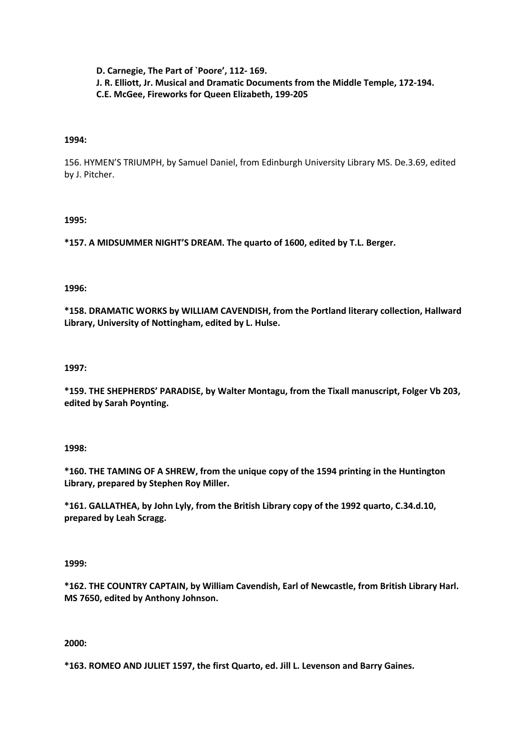**D. Carnegie, The Part of `Poore', 112- 169. J. R. Elliott, Jr. Musical and Dramatic Documents from the Middle Temple, 172-194. C.E. McGee, Fireworks for Queen Elizabeth, 199-205** 

## **1994:**

156. HYMEN'S TRIUMPH, by Samuel Daniel, from Edinburgh University Library MS. De.3.69, edited by J. Pitcher.

## **1995:**

**\*157. A MIDSUMMER NIGHT'S DREAM. The quarto of 1600, edited by T.L. Berger.** 

# **1996:**

**\*158. DRAMATIC WORKS by WILLIAM CAVENDISH, from the Portland literary collection, Hallward Library, University of Nottingham, edited by L. Hulse.** 

# **1997:**

**\*159. THE SHEPHERDS' PARADISE, by Walter Montagu, from the Tixall manuscript, Folger Vb 203, edited by Sarah Poynting.** 

## **1998:**

**\*160. THE TAMING OF A SHREW, from the unique copy of the 1594 printing in the Huntington Library, prepared by Stephen Roy Miller.** 

**\*161. GALLATHEA, by John Lyly, from the British Library copy of the 1992 quarto, C.34.d.10, prepared by Leah Scragg.** 

## **1999:**

**\*162. THE COUNTRY CAPTAIN, by William Cavendish, Earl of Newcastle, from British Library Harl. MS 7650, edited by Anthony Johnson.** 

# **2000:**

**\*163. ROMEO AND JULIET 1597, the first Quarto, ed. Jill L. Levenson and Barry Gaines.**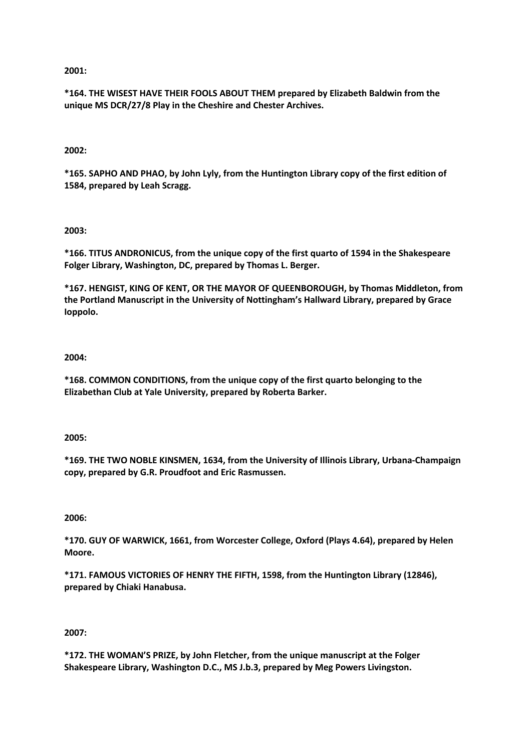**\*164. THE WISEST HAVE THEIR FOOLS ABOUT THEM prepared by Elizabeth Baldwin from the unique MS DCR/27/8 Play in the Cheshire and Chester Archives.**

#### **2002:**

**\*165. SAPHO AND PHAO, by John Lyly, from the Huntington Library copy of the first edition of 1584, prepared by Leah Scragg.**

#### **2003:**

**\*166. TITUS ANDRONICUS, from the unique copy of the first quarto of 1594 in the Shakespeare Folger Library, Washington, DC, prepared by Thomas L. Berger.** 

**\*167. HENGIST, KING OF KENT, OR THE MAYOR OF QUEENBOROUGH, by Thomas Middleton, from the Portland Manuscript in the University of Nottingham's Hallward Library, prepared by Grace Ioppolo.** 

#### **2004:**

**\*168. COMMON CONDITIONS, from the unique copy of the first quarto belonging to the Elizabethan Club at Yale University, prepared by Roberta Barker.** 

**2005:**

**\*169. THE TWO NOBLE KINSMEN, 1634, from the University of Illinois Library, Urbana-Champaign copy, prepared by G.R. Proudfoot and Eric Rasmussen.** 

#### **2006:**

**\*170. GUY OF WARWICK, 1661, from Worcester College, Oxford (Plays 4.64), prepared by Helen Moore.** 

**\*171. FAMOUS VICTORIES OF HENRY THE FIFTH, 1598, from the Huntington Library (12846), prepared by Chiaki Hanabusa.** 

## **2007:**

**\*172. THE WOMAN'S PRIZE, by John Fletcher, from the unique manuscript at the Folger Shakespeare Library, Washington D.C., MS J.b.3, prepared by Meg Powers Livingston.**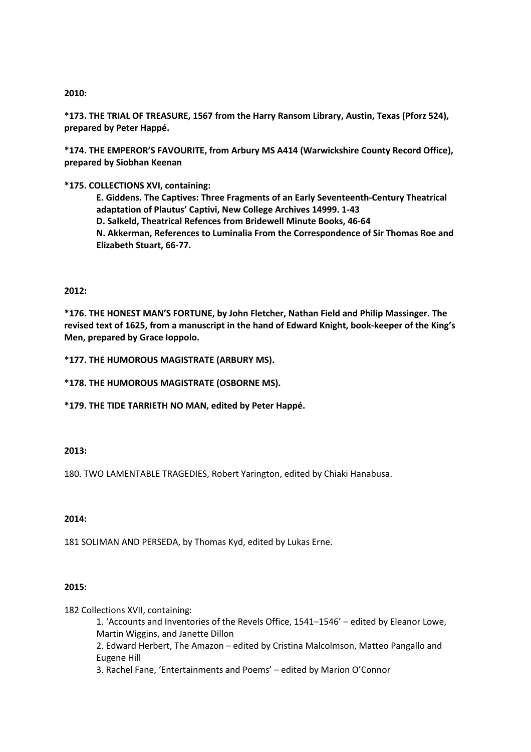**\*173. THE TRIAL OF TREASURE, 1567 from the Harry Ransom Library, Austin, Texas (Pforz 524), prepared by Peter Happé.** 

**\*174. THE EMPEROR'S FAVOURITE, from Arbury MS A414 (Warwickshire County Record Office), prepared by Siobhan Keenan**

## **\*175. COLLECTIONS XVI, containing:**

**E. Giddens. The Captives: Three Fragments of an Early Seventeenth-Century Theatrical adaptation of Plautus' Captivi, New College Archives 14999. 1-43 D. Salkeld, Theatrical Refences from Bridewell Minute Books, 46-64 N. Akkerman, References to Luminalia From the Correspondence of Sir Thomas Roe and Elizabeth Stuart, 66-77.** 

#### **2012:**

**\*176. THE HONEST MAN'S FORTUNE, by John Fletcher, Nathan Field and Philip Massinger. The revised text of 1625, from a manuscript in the hand of Edward Knight, book-keeper of the King's Men, prepared by Grace Ioppolo.** 

**\*177. THE HUMOROUS MAGISTRATE (ARBURY MS).**

**\*178. THE HUMOROUS MAGISTRATE (OSBORNE MS).**

**\*179. THE TIDE TARRIETH NO MAN, edited by Peter Happé.** 

#### **2013:**

180. TWO LAMENTABLE TRAGEDIES, Robert Yarington, edited by Chiaki Hanabusa.

## **2014:**

181 SOLIMAN AND PERSEDA, by Thomas Kyd, edited by Lukas Erne.

## **2015:**

182 Collections XVII, containing:

1. 'Accounts and Inventories of the Revels Office, 1541–1546' – edited by Eleanor Lowe, Martin Wiggins, and Janette Dillon

2. Edward Herbert, The Amazon – edited by Cristina Malcolmson, Matteo Pangallo and Eugene Hill

3. Rachel Fane, 'Entertainments and Poems' – edited by Marion O'Connor